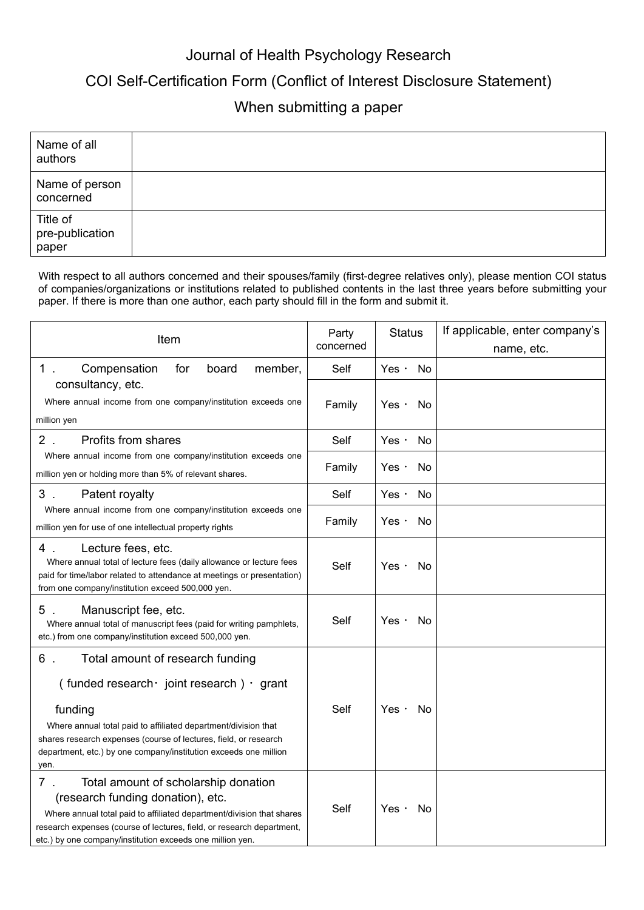## Journal of Health Psychology Research

## COI Self-Certification Form (Conflict of Interest Disclosure Statement)

## When submitting a paper

| Name of all<br>authors               |  |
|--------------------------------------|--|
| Name of person<br>concerned          |  |
| Title of<br>pre-publication<br>paper |  |

With respect to all authors concerned and their spouses/family (first-degree relatives only), please mention COI status of companies/organizations or institutions related to published contents in the last three years before submitting your paper. If there is more than one author, each party should fill in the form and submit it.

| Item                                                                                                                                                                                                                                                                                                                          | Party<br>concerned | <b>Status</b>      | If applicable, enter company's |
|-------------------------------------------------------------------------------------------------------------------------------------------------------------------------------------------------------------------------------------------------------------------------------------------------------------------------------|--------------------|--------------------|--------------------------------|
| $1$ .<br>Compensation<br>for<br>board<br>member,                                                                                                                                                                                                                                                                              | Self               | Yes $\cdot$<br>No. | name, etc.                     |
| consultancy, etc.<br>Where annual income from one company/institution exceeds one<br>million yen                                                                                                                                                                                                                              | Family             | Yes $\cdot$<br>No. |                                |
| $2$ .<br>Profits from shares                                                                                                                                                                                                                                                                                                  | Self               | Yes $\cdot$<br>No  |                                |
| Where annual income from one company/institution exceeds one<br>million yen or holding more than 5% of relevant shares.                                                                                                                                                                                                       | Family             | Yes $\cdot$<br>No  |                                |
| Patent royalty<br>3.                                                                                                                                                                                                                                                                                                          | Self               | Yes $\cdot$<br>No  |                                |
| Where annual income from one company/institution exceeds one<br>million yen for use of one intellectual property rights                                                                                                                                                                                                       | Family             | Yes $\cdot$<br>No  |                                |
| Lecture fees, etc.<br>4.<br>Where annual total of lecture fees (daily allowance or lecture fees<br>paid for time/labor related to attendance at meetings or presentation)<br>from one company/institution exceed 500,000 yen.                                                                                                 | Self               | Yes $\cdot$<br>No  |                                |
| $5$ .<br>Manuscript fee, etc.<br>Where annual total of manuscript fees (paid for writing pamphlets,<br>etc.) from one company/institution exceed 500,000 yen.                                                                                                                                                                 | Self               | Yes $\cdot$<br>No  |                                |
| 6.<br>Total amount of research funding<br>(funded research $\cdot$ joint research) $\cdot$ grant<br>funding<br>Where annual total paid to affiliated department/division that<br>shares research expenses (course of lectures, field, or research<br>department, etc.) by one company/institution exceeds one million<br>yen. | Self               | Yes $\cdot$<br>No. |                                |
| $7$ .<br>Total amount of scholarship donation<br>(research funding donation), etc.<br>Where annual total paid to affiliated department/division that shares<br>research expenses (course of lectures, field, or research department,<br>etc.) by one company/institution exceeds one million yen.                             | Self               | Yes $\cdot$<br>No  |                                |